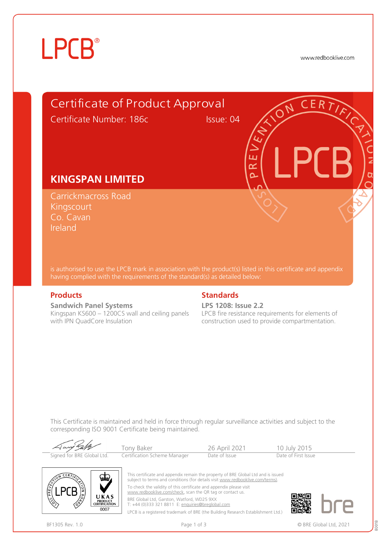# **LPCB**®

www.redbooklive.com



is authorised to use the LPCB mark in association with the product(s) listed in this certificate and appendix having complied with the requirements of the standard(s) as detailed below:

**Sandwich Panel Systems**  Kingspan KS600 – 1200CS wall and ceiling panels with IPN QuadCore Insulation

### **Products** Standards **Standards**

**LPS 1208: Issue 2.2** LPCB fire resistance requirements for elements of construction used to provide compartmentation.

This Certificate is maintained and held in force through regular surveillance activities and subject to the corresponding ISO 9001 Certificate being maintained.

| Aany Falk                  | Tony Baker                   | 26 April 2021 | 10 July 2015        |
|----------------------------|------------------------------|---------------|---------------------|
| Signed for BRE Global Ltd. | Certification Scheme Manager | Date of Issue | Date of First Issue |



This certificate and appendix remain the property of BRE Global Ltd and is issued subject to terms and conditions (for details visit [www.redbooklive.com/terms\).](http://www.redbooklive.com/terms)) To check the validity of this certificate and appendix please visit [www.redbooklive.com/check](http://www.redbooklive.com/check), scan the QR tag or contact us. BRE Global Ltd, Garston, Watford, WD25 9XX T: +44 (0)333 321 8811 E: [enquiries@breglobal.com](mailto:enquiries@breglobal.com)

LPCB is a registered trademark of BRE (the Building Research Establishment Ltd.)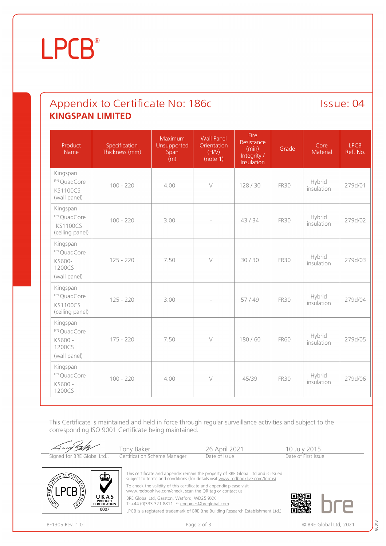# **LPCB**®

### Appendix to Certificate No: 186c Issue: 04 **KINGSPAN LIMITED**

| Product<br>Name                                                           | Specification<br>Thickness (mm) | Maximum<br>Unsupported<br>Span<br>(m) | <b>Wall Panel</b><br>Orientation<br>(H/N)<br>(note 1) | Fire<br>Resistance<br>(min)<br>Integrity /<br>Insulation | Grade       | Core<br>Material     | <b>LPCB</b><br>Ref. No. |
|---------------------------------------------------------------------------|---------------------------------|---------------------------------------|-------------------------------------------------------|----------------------------------------------------------|-------------|----------------------|-------------------------|
| Kingspan<br><sup>IPN</sup> QuadCore<br><b>KS1100CS</b><br>(wall panel)    | $100 - 220$                     | 4.00                                  | $\vee$                                                | 128/30                                                   | <b>FR30</b> | Hybrid<br>insulation | 279d/01                 |
| Kingspan<br><sup>IPN</sup> QuadCore<br><b>KS1100CS</b><br>(ceiling panel) | $100 - 220$                     | 3.00                                  |                                                       | 43/34                                                    | <b>FR30</b> | Hybrid<br>insulation | 279d/02                 |
| Kingspan<br><sup>IPN</sup> QuadCore<br>KS600-<br>1200CS<br>(wall panel)   | $125 - 220$                     | 7.50                                  | $\vee$                                                | 30/30                                                    | <b>FR30</b> | Hybrid<br>insulation | 279d/03                 |
| Kingspan<br><sup>IPN</sup> QuadCore<br><b>KS1100CS</b><br>(ceiling panel) | $125 - 220$                     | 3.00                                  |                                                       | 57/49                                                    | <b>FR30</b> | Hybrid<br>insulation | 279d/04                 |
| Kingspan<br><sup>IPN</sup> QuadCore<br>KS600 -<br>1200CS<br>(wall panel)  | $175 - 220$                     | 7.50                                  | $\bigvee$                                             | 180/60                                                   | <b>FR60</b> | Hybrid<br>insulation | 279d/05                 |
| Kingspan<br>IPN QuadCore<br>KS600 -<br>1200CS                             | $100 - 220$                     | 4.00                                  | $\vee$                                                | 45/39                                                    | <b>FR30</b> | Hybrid<br>insulation | 279d/06                 |

This Certificate is maintained and held in force through regular surveillance activities and subject to the corresponding ISO 9001 Certificate being maintained.





This certificate and appendix remain the property of BRE Global Ltd and is issued subject to terms and conditions (for details visit [www.redbooklive.com/terms\)](http://www.redbooklive.com/terms)). To check the validity of this certificate and appendix please visit

[www.redbooklive.com/check,](http://www.redbooklive.com/check) scan the QR tag or contact us.

BRE Global Ltd, Garston, Watford, WD25 9XX

T: +44 (0)333 321 8811 E: [enquiries@breglobal.com](mailto:enquiries@breglobal.com) LPCB is a registered trademark of BRE (the Building Research Establishment Ltd.)

80018